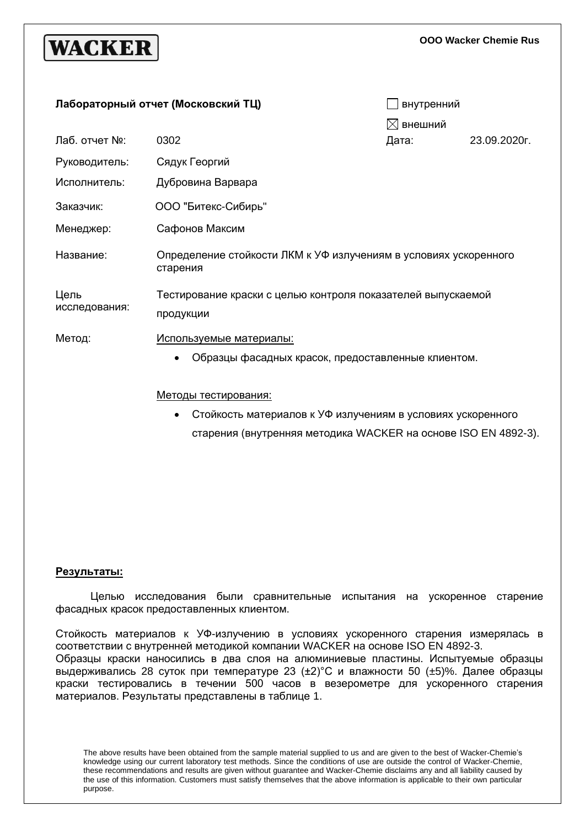# **WACKER**

**OOO Wacker Chemie Rus**

| Лабораторный отчет (Московский ТЦ) |                                                                                      | внутренний          |              |  |
|------------------------------------|--------------------------------------------------------------------------------------|---------------------|--------------|--|
|                                    |                                                                                      | $\boxtimes$ внешний |              |  |
| Лаб. отчет №:                      | 0302                                                                                 | Дата:               | 23.09.2020г. |  |
| Руководитель:                      | Сядук Георгий                                                                        |                     |              |  |
| Исполнитель:                       | Дубровина Варвара                                                                    |                     |              |  |
| Заказчик:                          | ООО "Битекс-Сибирь"                                                                  |                     |              |  |
| Менеджер:                          | Сафонов Максим                                                                       |                     |              |  |
| Название:                          | Определение стойкости ЛКМ к УФ излучениям в условиях ускоренного<br>старения         |                     |              |  |
| Цель<br>исследования:              | Тестирование краски с целью контроля показателей выпускаемой<br>продукции            |                     |              |  |
| Метод:                             | <u>Используемые материалы:</u><br>Образцы фасадных красок, предоставленные клиентом. |                     |              |  |
|                                    | Методы тестирования:                                                                 |                     |              |  |

• Стойкость материалов к УФ излучениям в условиях ускоренного старения (внутренняя методика WACKER на основе ISO EN 4892-3).

## **Результаты:**

Целью исследования были сравнительные испытания на ускоренное старение фасадных красок предоставленных клиентом.

Стойкость материалов к УФ-излучению в условиях ускоренного старения измерялась в соответствии с внутренней методикой компании WACKER на основе ISO EN 4892-3. Образцы краски наносились в два слоя на алюминиевые пластины. Испытуемые образцы выдерживались 28 суток при температуре 23 (±2)°С и влажности 50 (±5)%. Далее образцы краски тестировались в течении 500 часов в везерометре для ускоренного старения материалов. Результаты представлены в таблице 1.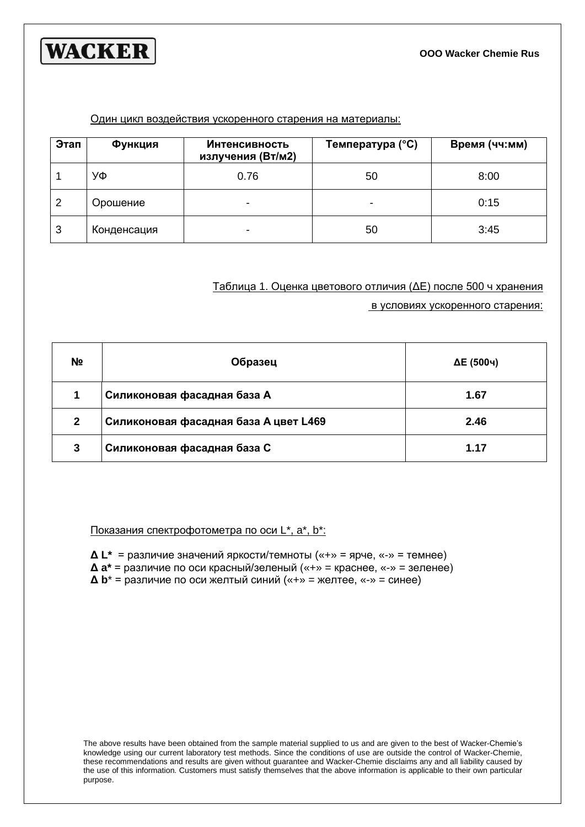



#### Один цикл воздействия ускоренного старения на материалы:

| Этап | Функция     | <b>Интенсивность</b><br>излучения (Вт/м2) | Температура (°С) | Время (чч:мм) |
|------|-------------|-------------------------------------------|------------------|---------------|
|      | УФ          | 0.76                                      | 50               | 8:00          |
| 2    | Орошение    |                                           | -                | 0:15          |
| 3    | Конденсация | ۰                                         | 50               | 3:45          |

## Таблица 1. Оценка цветового отличия (ΔЕ) после 500 ч хранения

в условиях ускоренного старения:

| N <sub>2</sub> | Образец                               | ∆Е (500ч) |
|----------------|---------------------------------------|-----------|
|                | Силиконовая фасадная база А           | 1.67      |
| $\mathbf{2}$   | Силиконовая фасадная база А цвет L469 | 2.46      |
| 3              | Силиконовая фасадная база С           | 1.17      |

## Показания спектрофотометра по оси L\*, a\*, b\*:

- **Δ L\*** = различие значений яркости/темноты («+» = ярче, «-» = темнее)
- **Δ a\*** = различие по оси красный/зеленый («+» = краснее, «-» = зеленее)
- **Δ b**\* = различие по оси желтый синий («+» = желтее, «-» = синее)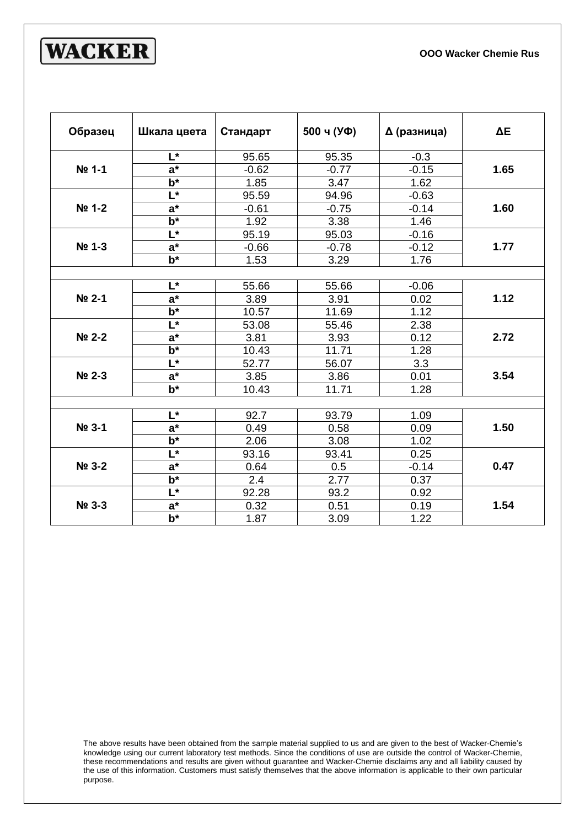

| Образец | Шкала цвета               | Стандарт | 500 ч (УФ) | ∆ (разница) | $\Delta E$ |
|---------|---------------------------|----------|------------|-------------|------------|
| Nº 1-1  | L*                        | 95.65    | 95.35      | $-0.3$      | 1.65       |
|         | $a^*$                     | $-0.62$  | $-0.77$    | $-0.15$     |            |
|         | $\overline{\mathbf{b}^*}$ | 1.85     | 3.47       | 1.62        |            |
| Nº 1-2  | $\overline{\mathsf{L}^*}$ | 95.59    | 94.96      | $-0.63$     | 1.60       |
|         | $\overline{a^*}$          | $-0.61$  | $-0.75$    | $-0.14$     |            |
|         | $\overline{\mathbf{b}^*}$ | 1.92     | 3.38       | 1.46        |            |
|         | $\overline{\mathsf{L}^*}$ | 95.19    | 95.03      | $-0.16$     |            |
| No 1-3  | $\overline{a^*}$          | $-0.66$  | $-0.78$    | $-0.12$     | 1.77       |
|         | $\overline{\mathbf{b}^*}$ | 1.53     | 3.29       | 1.76        |            |
|         |                           |          |            |             |            |
|         | L*                        | 55.66    | 55.66      | $-0.06$     | 1.12       |
| Nº 2-1  | $a^*$                     | 3.89     | 3.91       | 0.02        |            |
|         | $\overline{\mathbf{b}^*}$ | 10.57    | 11.69      | 1.12        |            |
|         | L*                        | 53.08    | 55.46      | 2.38        | 2.72       |
| Nº 2-2  | $\overline{a^*}$          | 3.81     | 3.93       | 0.12        |            |
|         | $\overline{\mathbf{b}^*}$ | 10.43    | 11.71      | 1.28        |            |
|         | $L^*$                     | 52.77    | 56.07      | 3.3         | 3.54       |
| Nº 2-3  | $a^*$                     | 3.85     | 3.86       | 0.01        |            |
|         | $\overline{b^*}$          | 10.43    | 11.71      | 1.28        |            |
|         |                           |          |            |             |            |
|         | L*                        | 92.7     | 93.79      | 1.09        | 1.50       |
| Nº 3-1  | $\overline{a}^*$          | 0.49     | 0.58       | 0.09        |            |
|         | $b^*$                     | 2.06     | 3.08       | 1.02        |            |
| No 3-2  | $L^*$                     | 93.16    | 93.41      | 0.25        | 0.47       |
|         | $a^*$                     | 0.64     | 0.5        | $-0.14$     |            |
|         | $b^*$                     | 2.4      | 2.77       | 0.37        |            |
| Nº 3-3  | $L^*$                     | 92.28    | 93.2       | 0.92        |            |
|         | $a^*$                     | 0.32     | 0.51       | 0.19        | 1.54       |
|         | $\overline{b^*}$          | 1.87     | 3.09       | 1.22        |            |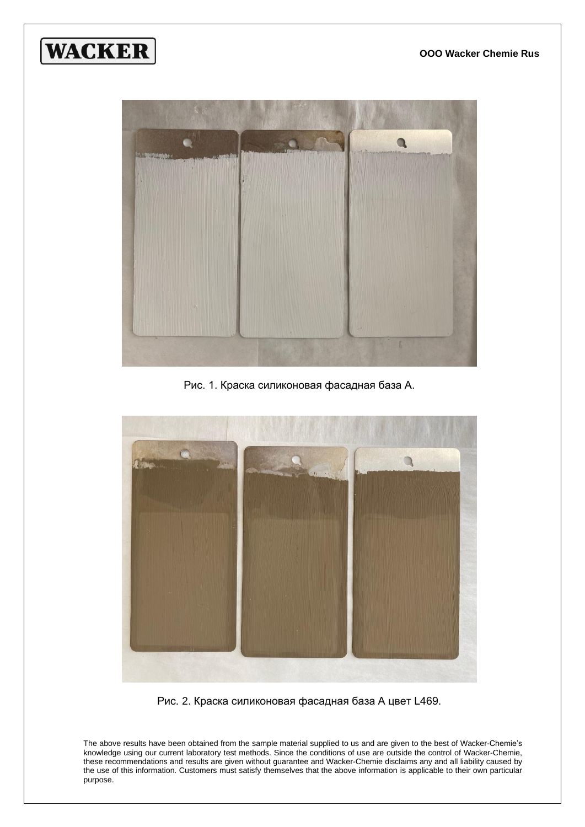



Рис. 1. Краска силиконовая фасадная база А.



Рис. 2. Краска силиконовая фасадная база А цвет L469.